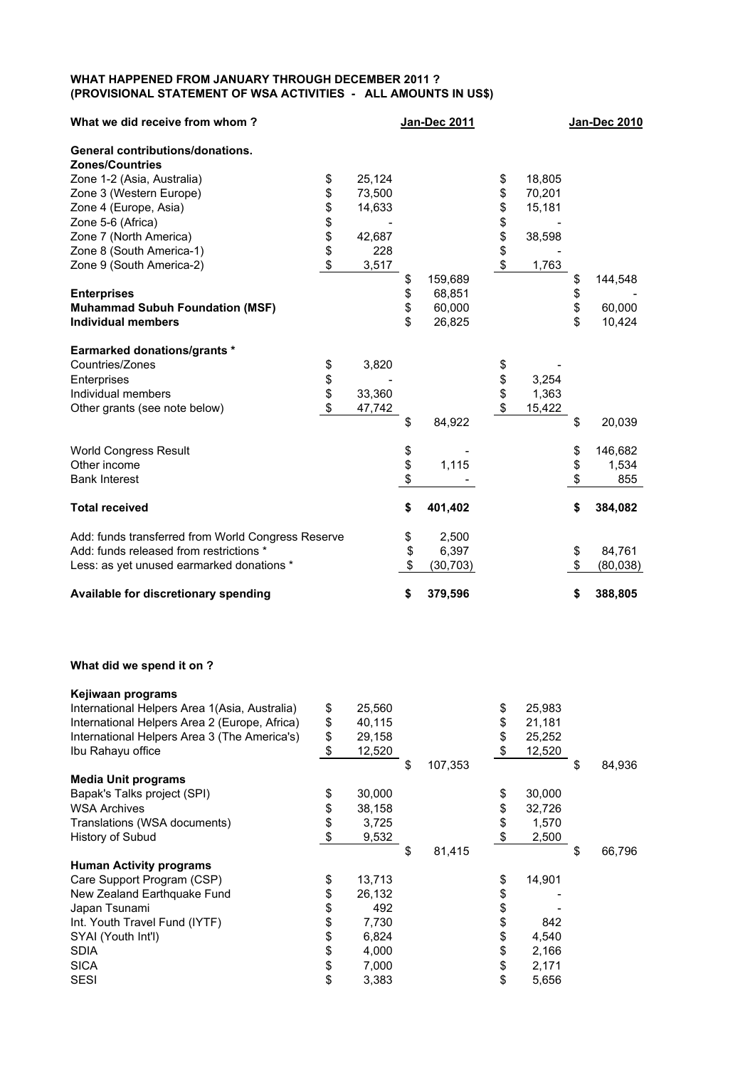## **WHAT HAPPENED FROM JANUARY THROUGH DECEMBER 2011 ? (PROVISIONAL STATEMENT OF WSA ACTIVITIES - ALL AMOUNTS IN US\$)**

| What we did receive from whom?                     |          |        |          | <b>Jan-Dec 2011</b> |               |        |          | <b>Jan-Dec 2010</b> |
|----------------------------------------------------|----------|--------|----------|---------------------|---------------|--------|----------|---------------------|
| <b>General contributions/donations.</b>            |          |        |          |                     |               |        |          |                     |
| <b>Zones/Countries</b>                             |          |        |          |                     |               |        |          |                     |
| Zone 1-2 (Asia, Australia)                         | \$       | 25,124 |          |                     | \$            | 18,805 |          |                     |
| Zone 3 (Western Europe)                            | \$       | 73,500 |          |                     |               | 70,201 |          |                     |
| Zone 4 (Europe, Asia)                              | \$\$\$   | 14,633 |          |                     | <b>888888</b> | 15,181 |          |                     |
| Zone 5-6 (Africa)                                  |          |        |          |                     |               |        |          |                     |
| Zone 7 (North America)                             |          | 42,687 |          |                     |               | 38,598 |          |                     |
| Zone 8 (South America-1)                           |          | 228    |          |                     |               |        |          |                     |
| Zone 9 (South America-2)                           | \$       | 3,517  |          |                     |               | 1,763  |          |                     |
|                                                    |          |        | \$       | 159,689             |               |        | \$       | 144,548             |
| <b>Enterprises</b>                                 |          |        | \$       | 68,851              |               |        | \$<br>\$ |                     |
| <b>Muhammad Subuh Foundation (MSF)</b>             |          |        |          | 60,000              |               |        |          | 60,000              |
| <b>Individual members</b>                          |          |        | \$       | 26,825              |               |        | \$       | 10,424              |
| <b>Earmarked donations/grants *</b>                |          |        |          |                     |               |        |          |                     |
| Countries/Zones                                    | \$       | 3,820  |          |                     | \$            |        |          |                     |
| Enterprises                                        | \$<br>\$ |        |          |                     |               | 3,254  |          |                     |
| Individual members                                 |          | 33,360 |          |                     | \$<br>\$      | 1,363  |          |                     |
| Other grants (see note below)                      | \$       | 47,742 |          |                     | \$            | 15,422 |          |                     |
|                                                    |          |        | \$       | 84,922              |               |        | \$       | 20,039              |
| <b>World Congress Result</b>                       |          |        |          |                     |               |        | \$       | 146,682             |
| Other income                                       |          |        | \$<br>\$ | 1,115               |               |        | \$       | 1,534               |
| <b>Bank Interest</b>                               |          |        |          |                     |               |        | \$       | 855                 |
| <b>Total received</b>                              |          |        | \$       | 401,402             |               |        | \$       | 384,082             |
| Add: funds transferred from World Congress Reserve |          |        | \$       | 2,500               |               |        |          |                     |
| Add: funds released from restrictions *            |          |        | \$       | 6,397               |               |        | \$       | 84,761              |
| Less: as yet unused earmarked donations *          |          |        | \$       | (30, 703)           |               |        | \$       | (80,038)            |
| Available for discretionary spending               |          |        | \$       | 379,596             |               |        | \$       | 388,805             |

## **What did we spend it on ?**

| Kejiwaan programs                             |                            |        |               |              |              |
|-----------------------------------------------|----------------------------|--------|---------------|--------------|--------------|
| International Helpers Area 1(Asia, Australia) | \$                         | 25,560 |               | \$<br>25,983 |              |
| International Helpers Area 2 (Europe, Africa) | \$                         | 40,115 |               | \$<br>21,181 |              |
| International Helpers Area 3 (The America's)  | \$                         | 29,158 |               | \$<br>25,252 |              |
| Ibu Rahayu office                             | $\boldsymbol{\mathsf{S}}$  | 12,520 |               | \$<br>12,520 |              |
|                                               |                            |        | \$<br>107,353 |              | \$<br>84,936 |
| <b>Media Unit programs</b>                    |                            |        |               |              |              |
| Bapak's Talks project (SPI)                   | \$                         | 30,000 |               | \$<br>30,000 |              |
| <b>WSA Archives</b>                           | \$                         | 38,158 |               | \$<br>32,726 |              |
| Translations (WSA documents)                  | \$                         | 3,725  |               | \$<br>1,570  |              |
| History of Subud                              | $\boldsymbol{\mathsf{\$}}$ | 9,532  |               | \$<br>2,500  |              |
|                                               |                            |        | \$<br>81,415  |              | \$<br>66,796 |
| <b>Human Activity programs</b>                |                            |        |               |              |              |
| Care Support Program (CSP)                    | \$                         | 13,713 |               | \$<br>14,901 |              |
| New Zealand Earthquake Fund                   | \$                         | 26,132 |               | \$           |              |
| Japan Tsunami                                 | \$                         | 492    |               | \$           |              |
| Int. Youth Travel Fund (IYTF)                 | \$                         | 7,730  |               | \$<br>842    |              |
| SYAI (Youth Int'l)                            | \$                         | 6,824  |               | \$<br>4,540  |              |
| <b>SDIA</b>                                   | \$                         | 4,000  |               | \$<br>2,166  |              |
| <b>SICA</b>                                   | \$                         | 7,000  |               | \$<br>2,171  |              |
| <b>SESI</b>                                   | \$                         | 3,383  |               | \$<br>5,656  |              |
|                                               |                            |        |               |              |              |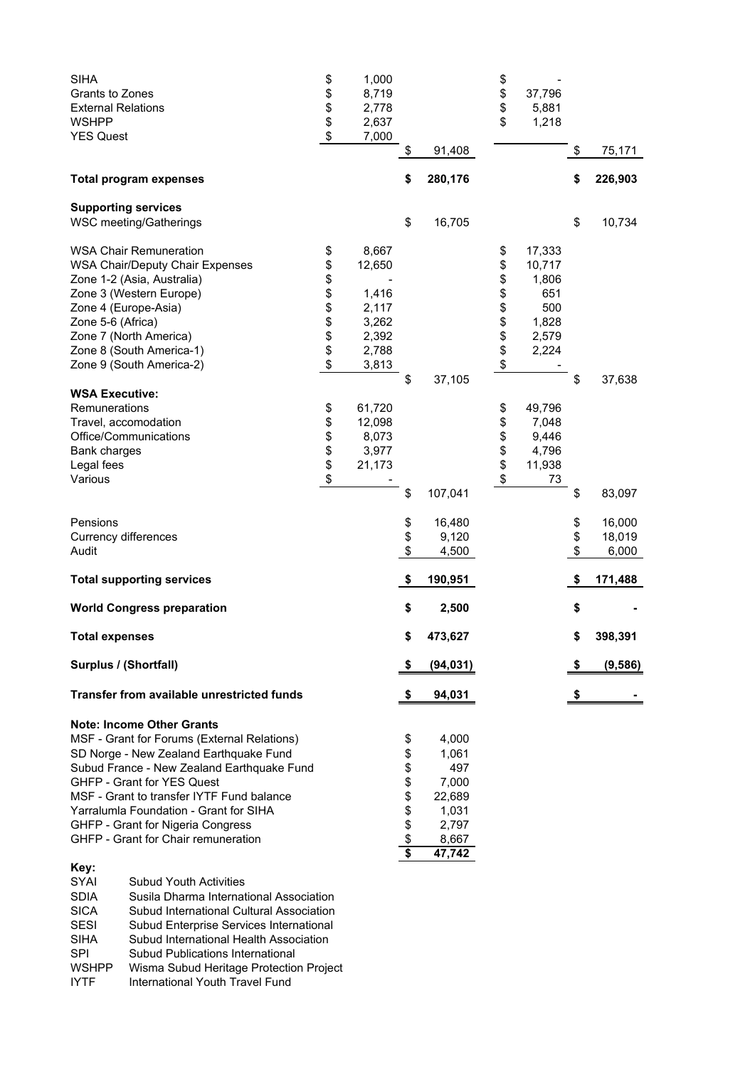| <b>SIHA</b><br>Grants to Zones<br><b>External Relations</b><br><b>WSHPP</b><br><b>YES Quest</b> |                                                                                                                                                                                                                                                                                                                                                                                                           | \$<br>\$<br>\$<br>\$<br>\$         | 1,000<br>8,719<br>2,778<br>2,637<br>7,000                             |                                                                                |                                                                               | \$<br>\$<br>\$<br>\$             | 37,796<br>5,881<br>1,218                                           |                |                  |
|-------------------------------------------------------------------------------------------------|-----------------------------------------------------------------------------------------------------------------------------------------------------------------------------------------------------------------------------------------------------------------------------------------------------------------------------------------------------------------------------------------------------------|------------------------------------|-----------------------------------------------------------------------|--------------------------------------------------------------------------------|-------------------------------------------------------------------------------|----------------------------------|--------------------------------------------------------------------|----------------|------------------|
|                                                                                                 |                                                                                                                                                                                                                                                                                                                                                                                                           |                                    |                                                                       | \$                                                                             | 91,408                                                                        |                                  |                                                                    | \$             | 75,171           |
|                                                                                                 | <b>Total program expenses</b>                                                                                                                                                                                                                                                                                                                                                                             |                                    |                                                                       | \$                                                                             | 280,176                                                                       |                                  |                                                                    | \$             | 226,903          |
|                                                                                                 | <b>Supporting services</b><br>WSC meeting/Gatherings                                                                                                                                                                                                                                                                                                                                                      |                                    |                                                                       | \$                                                                             | 16,705                                                                        |                                  |                                                                    | \$             | 10,734           |
| Zone 5-6 (Africa)                                                                               | <b>WSA Chair Remuneration</b><br><b>WSA Chair/Deputy Chair Expenses</b><br>Zone 1-2 (Asia, Australia)<br>Zone 3 (Western Europe)<br>Zone 4 (Europe-Asia)<br>Zone 7 (North America)<br>Zone 8 (South America-1)<br>Zone 9 (South America-2)                                                                                                                                                                | \$<br>\$<br>\$<br>\$\$\$\$\$<br>\$ | 8,667<br>12,650<br>1,416<br>2,117<br>3,262<br>2,392<br>2,788<br>3,813 |                                                                                |                                                                               | \$<br>\$<br>\$<br>\$\$\$\$\$\$\$ | 17,333<br>10,717<br>1,806<br>651<br>500<br>1,828<br>2,579<br>2,224 |                |                  |
| <b>WSA Executive:</b><br>Remunerations<br><b>Bank charges</b><br>Legal fees<br>Various          | Travel, accomodation<br>Office/Communications                                                                                                                                                                                                                                                                                                                                                             | \$<br>\$<br>\$<br>\$<br>\$<br>\$   | 61,720<br>12,098<br>8,073<br>3,977<br>21,173                          | \$<br>\$                                                                       | 37,105<br>107,041                                                             | \$<br>\$<br>\$\$<br>\$           | 49,796<br>7,048<br>9,446<br>4,796<br>11,938<br>73                  | \$<br>\$       | 37,638<br>83,097 |
| Pensions                                                                                        |                                                                                                                                                                                                                                                                                                                                                                                                           |                                    |                                                                       |                                                                                | 16,480                                                                        |                                  |                                                                    |                | 16,000           |
| Currency differences<br>Audit                                                                   |                                                                                                                                                                                                                                                                                                                                                                                                           |                                    |                                                                       | \$<br>\$<br>\$                                                                 | 9,120<br>4,500                                                                |                                  |                                                                    | \$<br>\$<br>\$ | 18,019<br>6,000  |
|                                                                                                 | <b>Total supporting services</b>                                                                                                                                                                                                                                                                                                                                                                          |                                    |                                                                       | \$                                                                             | 190,951                                                                       |                                  |                                                                    | \$             | 171,488          |
|                                                                                                 | <b>World Congress preparation</b>                                                                                                                                                                                                                                                                                                                                                                         |                                    |                                                                       | \$                                                                             | 2,500                                                                         |                                  |                                                                    | \$             |                  |
| <b>Total expenses</b>                                                                           |                                                                                                                                                                                                                                                                                                                                                                                                           |                                    |                                                                       | \$                                                                             | 473,627                                                                       |                                  |                                                                    | \$             | 398,391          |
| Surplus / (Shortfall)                                                                           |                                                                                                                                                                                                                                                                                                                                                                                                           |                                    |                                                                       | \$                                                                             | (94, 031)                                                                     |                                  |                                                                    | \$             | (9,586)          |
|                                                                                                 | Transfer from available unrestricted funds                                                                                                                                                                                                                                                                                                                                                                |                                    |                                                                       | \$                                                                             | 94,031                                                                        |                                  |                                                                    | \$             |                  |
| Key:<br>SYAI                                                                                    | <b>Note: Income Other Grants</b><br>MSF - Grant for Forums (External Relations)<br>SD Norge - New Zealand Earthquake Fund<br>Subud France - New Zealand Earthquake Fund<br>GHFP - Grant for YES Quest<br>MSF - Grant to transfer IYTF Fund balance<br>Yarralumla Foundation - Grant for SIHA<br>GHFP - Grant for Nigeria Congress<br>GHFP - Grant for Chair remuneration<br><b>Subud Youth Activities</b> |                                    |                                                                       | \$<br>\$<br>\$<br>\$<br>\$<br>\$<br>\$<br>$\overline{\boldsymbol{\mathsf{s}}}$ | 4,000<br>1,061<br>497<br>7,000<br>22,689<br>1,031<br>2,797<br>8,667<br>47,742 |                                  |                                                                    |                |                  |
| <b>SDIA</b><br><b>SICA</b><br><b>SESI</b><br><b>SIHA</b><br>SPI<br><b>WSHPP</b>                 | Susila Dharma International Association<br>Subud International Cultural Association<br>Subud Enterprise Services International<br>Subud International Health Association<br>Subud Publications International<br>Wisma Subud Heritage Protection Project                                                                                                                                                   |                                    |                                                                       |                                                                                |                                                                               |                                  |                                                                    |                |                  |

IYTF International Youth Travel Fund